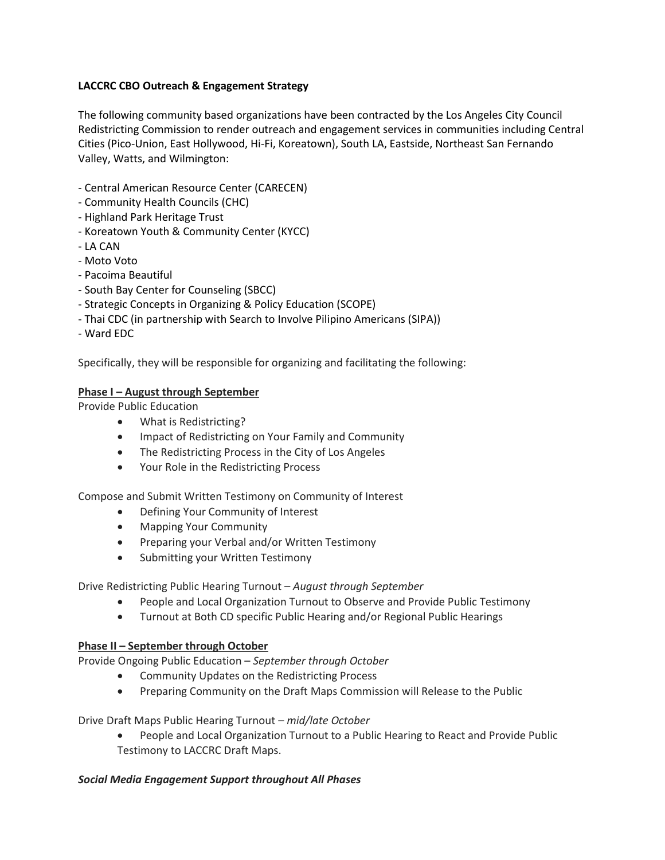## **LACCRC CBO Outreach & Engagement Strategy**

The following community based organizations have been contracted by the Los Angeles City Council Redistricting Commission to render outreach and engagement services in communities including Central Cities (Pico-Union, East Hollywood, Hi-Fi, Koreatown), South LA, Eastside, Northeast San Fernando Valley, Watts, and Wilmington:

- Central American Resource Center (CARECEN)
- Community Health Councils (CHC)
- Highland Park Heritage Trust
- Koreatown Youth & Community Center (KYCC)
- LA CAN
- Moto Voto
- Pacoima Beautiful
- South Bay Center for Counseling (SBCC)
- Strategic Concepts in Organizing & Policy Education (SCOPE)
- Thai CDC (in partnership with Search to Involve Pilipino Americans (SIPA))
- Ward EDC

Specifically, they will be responsible for organizing and facilitating the following:

## **Phase I – August through September**

Provide Public Education

- What is Redistricting?
- Impact of Redistricting on Your Family and Community
- The Redistricting Process in the City of Los Angeles
- Your Role in the Redistricting Process

Compose and Submit Written Testimony on Community of Interest

- Defining Your Community of Interest
- Mapping Your Community
- Preparing your Verbal and/or Written Testimony
- Submitting your Written Testimony

Drive Redistricting Public Hearing Turnout – *August through September*

- People and Local Organization Turnout to Observe and Provide Public Testimony
- Turnout at Both CD specific Public Hearing and/or Regional Public Hearings

## **Phase II – September through October**

Provide Ongoing Public Education – *September through October*

- Community Updates on the Redistricting Process
- Preparing Community on the Draft Maps Commission will Release to the Public

Drive Draft Maps Public Hearing Turnout – *mid/late October*

• People and Local Organization Turnout to a Public Hearing to React and Provide Public Testimony to LACCRC Draft Maps.

## *Social Media Engagement Support throughout All Phases*